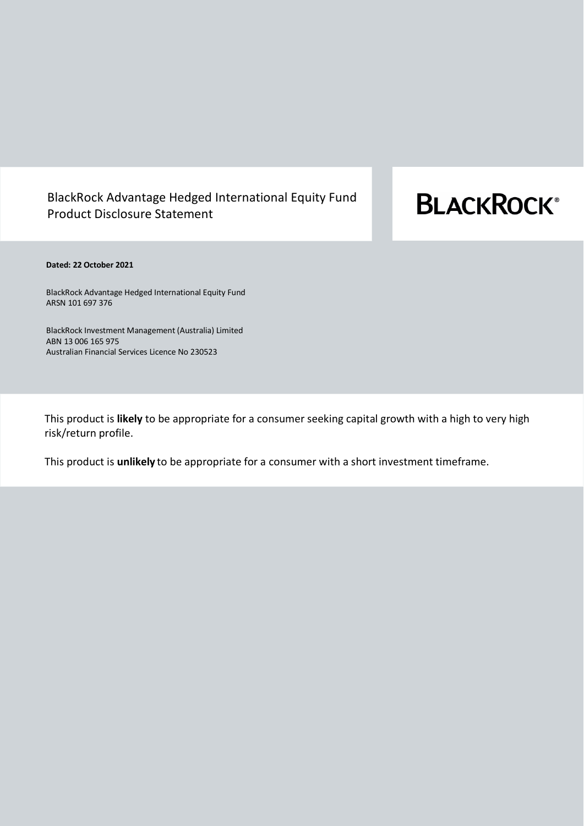# BlackRock Advantage Hedged International Equity Fund Product Disclosure Statement

# **BLACKROCK®**

#### **Dated: 22 October 2021**

BlackRock Advantage Hedged International Equity Fund ARSN 101 697 376

BlackRock Investment Management (Australia) Limited ABN 13 006 165 975 Australian Financial Services Licence No 230523

This product is **likely** to be appropriate for a consumer seeking capital growth with a high to very high risk/return profile.

This product is **unlikely** to be appropriate for a consumer with a short investment timeframe.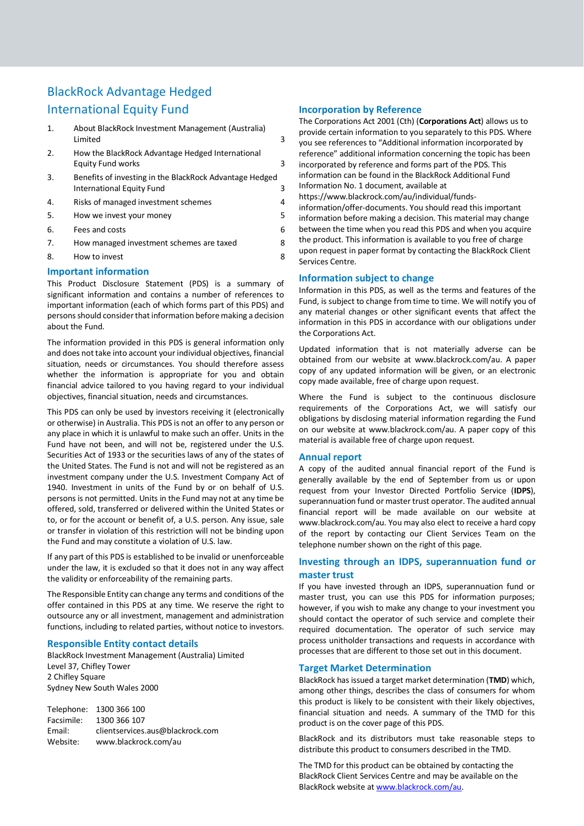# BlackRock Advantage Hedged International Equity Fund

- 1. [About BlackRock Investment Management \(Australia\)](#page-2-0)  [Limited](#page-2-0) 3
- 2. [How the BlackRock Advantage](#page-2-1) Hedged International [Equity Fund works](#page-2-1) 3
- 3. [Benefits of investing in the BlackRock Advantage](#page-2-2) Hedged [International Equity Fund](#page-2-2) 3
- 4. [Risks of managed investment schemes](#page-3-0) 4
- 5. [How we invest your money](#page-4-0)
- 6. [Fees and costs](#page-5-0) 6
- 7. How managed investment schemes are taxed 8
- 8. How to invest 8

#### **Important information**

This Product Disclosure Statement (PDS) is a summary of significant information and contains a number of references to important information (each of which forms part of this PDS) and persons should consider that information before making a decision about the Fund.

The information provided in this PDS is general information only and does not take into account your individual objectives, financial situation, needs or circumstances. You should therefore assess whether the information is appropriate for you and obtain financial advice tailored to you having regard to your individual objectives, financial situation, needs and circumstances.

This PDS can only be used by investors receiving it (electronically or otherwise) in Australia. This PDS is not an offer to any person or any place in which it is unlawful to make such an offer. Units in the Fund have not been, and will not be, registered under the U.S. Securities Act of 1933 or the securities laws of any of the states of the United States. The Fund is not and will not be registered as an investment company under the U.S. Investment Company Act of 1940. Investment in units of the Fund by or on behalf of U.S. persons is not permitted. Units in the Fund may not at any time be offered, sold, transferred or delivered within the United States or to, or for the account or benefit of, a U.S. person. Any issue, sale or transfer in violation of this restriction will not be binding upon the Fund and may constitute a violation of U.S. law.

If any part of this PDS is established to be invalid or unenforceable under the law, it is excluded so that it does not in any way affect the validity or enforceability of the remaining parts.

The Responsible Entity can change any terms and conditions of the offer contained in this PDS at any time. We reserve the right to outsource any or all investment, management and administration functions, including to related parties, without notice to investors.

#### **Responsible Entity contact details**

BlackRock Investment Management (Australia) Limited Level 37, Chifley Tower 2 Chifley Square Sydney New South Wales 2000

Telephone: 1300 366 100 Facsimile: 1300 366 107 Email: clientservices.aus@blackrock.com Website: www.blackrock.com/au

#### **Incorporation by Reference**

The Corporations Act 2001 (Cth) (**Corporations Act**) allows us to provide certain information to you separately to this PDS. Where you see references to "Additional information incorporated by reference" additional information concerning the topic has been incorporated by reference and forms part of the PDS. This information can be found in the BlackRock Additional Fund Information No. 1 document, available at [https://www.blackrock.com/au/individual/funds](https://www.blackrock.com/au/individual/funds-information/offer-documents)[information/offer-documents.](https://www.blackrock.com/au/individual/funds-information/offer-documents) You should read this important

information before making a decision. This material may change between the time when you read this PDS and when you acquire the product. This information is available to you free of charge upon request in paper format by contacting the BlackRock Client Services Centre.

#### **Information subject to change**

Information in this PDS, as well as the terms and features of the Fund, is subject to change from time to time. We will notify you of any material changes or other significant events that affect the information in this PDS in accordance with our obligations under the Corporations Act.

Updated information that is not materially adverse can be obtained from our website at www.blackrock.com/au. A paper copy of any updated information will be given, or an electronic copy made available, free of charge upon request.

Where the Fund is subject to the continuous disclosure requirements of the Corporations Act, we will satisfy our obligations by disclosing material information regarding the Fund on our website at www.blackrock.com/au. A paper copy of this material is available free of charge upon request.

#### **Annual report**

A copy of the audited annual financial report of the Fund is generally available by the end of September from us or upon request from your Investor Directed Portfolio Service (**IDPS**), superannuation fund or master trust operator. The audited annual financial report will be made available on our website at [www.blackrock.com/au.](http://www.blackrock.com/au) You may also elect to receive a hard copy of the report by contacting our Client Services Team on the telephone number shown on the right of this page.

### **Investing through an IDPS, superannuation fund or master trust**

If you have invested through an IDPS, superannuation fund or master trust, you can use this PDS for information purposes; however, if you wish to make any change to your investment you should contact the operator of such service and complete their required documentation. The operator of such service may process unitholder transactions and requests in accordance with processes that are different to those set out in this document.

#### **Target Market Determination**

BlackRock has issued a target market determination (**TMD**) which, among other things, describes the class of consumers for whom this product is likely to be consistent with their likely objectives, financial situation and needs. A summary of the TMD for this product is on the cover page of this PDS.

BlackRock and its distributors must take reasonable steps to distribute this product to consumers described in the TMD.

The TMD for this product can be obtained by contacting the BlackRock Client Services Centre and may be available on the BlackRock website a[t www.blackrock.com/au.](http://www.blackrock.com.au/)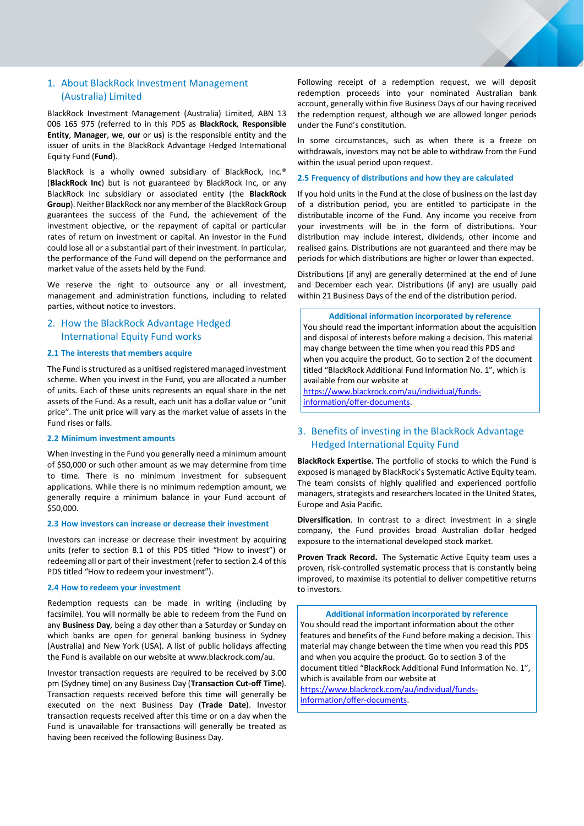# <span id="page-2-0"></span>1. About BlackRock Investment Management (Australia) Limited

BlackRock Investment Management (Australia) Limited, ABN 13 006 165 975 (referred to in this PDS as **BlackRock**, **Responsible Entity**, **Manager**, **we**, **our** or **us**) is the responsible entity and the issuer of units in the BlackRock Advantage Hedged International Equity Fund (**Fund**).

BlackRock is a wholly owned subsidiary of BlackRock, Inc.® (**BlackRock Inc**) but is not guaranteed by BlackRock Inc, or any BlackRock Inc subsidiary or associated entity (the **BlackRock Group**). Neither BlackRock nor any member of the BlackRock Group guarantees the success of the Fund, the achievement of the investment objective, or the repayment of capital or particular rates of return on investment or capital. An investor in the Fund could lose all or a substantial part of their investment. In particular, the performance of the Fund will depend on the performance and market value of the assets held by the Fund.

We reserve the right to outsource any or all investment, management and administration functions, including to related parties, without notice to investors.

# <span id="page-2-1"></span>2. How the BlackRock Advantage Hedged International Equity Fund works

#### **2.1 The interests that members acquire**

The Fund is structured as a unitised registered managed investment scheme. When you invest in the Fund, you are allocated a number of units. Each of these units represents an equal share in the net assets of the Fund. As a result, each unit has a dollar value or "unit price". The unit price will vary as the market value of assets in the Fund rises or falls.

#### **2.2 Minimum investment amounts**

When investing in the Fund you generally need a minimum amount of \$50,000 or such other amount as we may determine from time to time. There is no minimum investment for subsequent applications. While there is no minimum redemption amount, we generally require a minimum balance in your Fund account of \$50,000.

#### **2.3 How investors can increase or decrease their investment**

Investors can increase or decrease their investment by acquiring units (refer to section 8.1 of this PDS titled "How to invest") or redeeming all or part of their investment (refer to section 2.4 of this PDS titled "How to redeem your investment").

#### **2.4 How to redeem your investment**

Redemption requests can be made in writing (including by facsimile). You will normally be able to redeem from the Fund on any **Business Day**, being a day other than a Saturday or Sunday on which banks are open for general banking business in Sydney (Australia) and New York (USA). A list of public holidays affecting the Fund is available on our website at www.blackrock.com/au.

Investor transaction requests are required to be received by 3.00 pm (Sydney time) on any Business Day (**Transaction Cut-off Time**). Transaction requests received before this time will generally be executed on the next Business Day (**Trade Date**). Investor transaction requests received after this time or on a day when the Fund is unavailable for transactions will generally be treated as having been received the following Business Day.

Following receipt of a redemption request, we will deposit redemption proceeds into your nominated Australian bank account, generally within five Business Days of our having received the redemption request, although we are allowed longer periods under the Fund's constitution.

In some circumstances, such as when there is a freeze on withdrawals, investors may not be able to withdraw from the Fund within the usual period upon request.

#### **2.5 Frequency of distributions and how they are calculated**

If you hold units in the Fund at the close of business on the last day of a distribution period, you are entitled to participate in the distributable income of the Fund. Any income you receive from your investments will be in the form of distributions. Your distribution may include interest, dividends, other income and realised gains. Distributions are not guaranteed and there may be periods for which distributions are higher or lower than expected.

Distributions (if any) are generally determined at the end of June and December each year. Distributions (if any) are usually paid within 21 Business Days of the end of the distribution period.

#### **Additional information incorporated by reference**

You should read the important information about the acquisition and disposal of interests before making a decision. This material may change between the time when you read this PDS and when you acquire the product. Go to section 2 of the document titled "BlackRock Additional Fund Information No. 1", which is available from our website at

[https://www.blackrock.com/au/individual/funds](https://www.blackrock.com/au/individual/funds-information/offer-documents)[information/offer-documents.](https://www.blackrock.com/au/individual/funds-information/offer-documents)

## <span id="page-2-2"></span>3. Benefits of investing in the BlackRock Advantage Hedged International Equity Fund

**BlackRock Expertise.** The portfolio of stocks to which the Fund is exposed is managed by BlackRock's Systematic Active Equity team. The team consists of highly qualified and experienced portfolio managers, strategists and researchers located in the United States, Europe and Asia Pacific.

**Diversification**. In contrast to a direct investment in a single company, the Fund provides broad Australian dollar hedged exposure to the international developed stock market.

**Proven Track Record.** The Systematic Active Equity team uses a proven, risk-controlled systematic process that is constantly being improved, to maximise its potential to deliver competitive returns to investors.

**Additional information incorporated by reference** You should read the important information about the other features and benefits of the Fund before making a decision. This material may change between the time when you read this PDS and when you acquire the product. Go to section 3 of the document titled "BlackRock Additional Fund Information No. 1", which is available from our website at

[https://www.blackrock.com/au/individual/funds](https://www.blackrock.com/au/individual/funds-information/offer-documents)[information/offer-documents.](https://www.blackrock.com/au/individual/funds-information/offer-documents)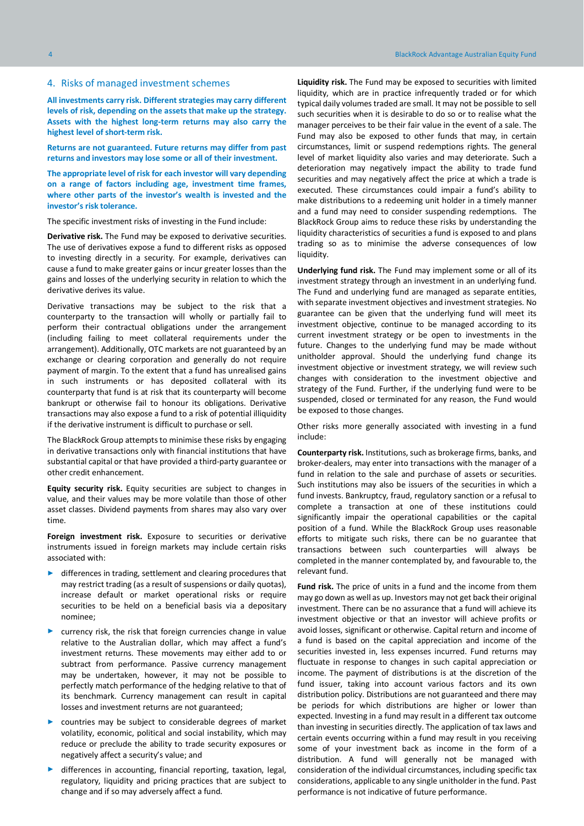#### <span id="page-3-0"></span>4. Risks of managed investment schemes

**All investments carry risk. Different strategies may carry different levels of risk, depending on the assets that make up the strategy. Assets with the highest long-term returns may also carry the highest level of short-term risk.**

**Returns are not guaranteed. Future returns may differ from past returns and investors may lose some or all of their investment.** 

**The appropriate level of risk for each investor will vary depending on a range of factors including age, investment time frames, where other parts of the investor's wealth is invested and the investor's risk tolerance.**

The specific investment risks of investing in the Fund include:

**Derivative risk.** The Fund may be exposed to derivative securities. The use of derivatives expose a fund to different risks as opposed to investing directly in a security. For example, derivatives can cause a fund to make greater gains or incur greater losses than the gains and losses of the underlying security in relation to which the derivative derives its value.

Derivative transactions may be subject to the risk that a counterparty to the transaction will wholly or partially fail to perform their contractual obligations under the arrangement (including failing to meet collateral requirements under the arrangement). Additionally, OTC markets are not guaranteed by an exchange or clearing corporation and generally do not require payment of margin. To the extent that a fund has unrealised gains in such instruments or has deposited collateral with its counterparty that fund is at risk that its counterparty will become bankrupt or otherwise fail to honour its obligations. Derivative transactions may also expose a fund to a risk of potential illiquidity if the derivative instrument is difficult to purchase or sell.

The BlackRock Group attempts to minimise these risks by engaging in derivative transactions only with financial institutions that have substantial capital or that have provided a third-party guarantee or other credit enhancement.

**Equity security risk.** Equity securities are subject to changes in value, and their values may be more volatile than those of other asset classes. Dividend payments from shares may also vary over time.

**Foreign investment risk.** Exposure to securities or derivative instruments issued in foreign markets may include certain risks associated with:

- differences in trading, settlement and clearing procedures that may restrict trading (as a result of suspensions or daily quotas), increase default or market operational risks or require securities to be held on a beneficial basis via a depositary nominee;
- currency risk, the risk that foreign currencies change in value relative to the Australian dollar, which may affect a fund's investment returns. These movements may either add to or subtract from performance. Passive currency management may be undertaken, however, it may not be possible to perfectly match performance of the hedging relative to that of its benchmark. Currency management can result in capital losses and investment returns are not guaranteed;
- countries may be subject to considerable degrees of market volatility, economic, political and social instability, which may reduce or preclude the ability to trade security exposures or negatively affect a security's value; and
- differences in accounting, financial reporting, taxation, legal, regulatory, liquidity and pricing practices that are subject to change and if so may adversely affect a fund.

**Liquidity risk.** The Fund may be exposed to securities with limited liquidity, which are in practice infrequently traded or for which typical daily volumes traded are small. It may not be possible to sell such securities when it is desirable to do so or to realise what the manager perceives to be their fair value in the event of a sale. The Fund may also be exposed to other funds that may, in certain circumstances, limit or suspend redemptions rights. The general level of market liquidity also varies and may deteriorate. Such a deterioration may negatively impact the ability to trade fund securities and may negatively affect the price at which a trade is executed. These circumstances could impair a fund's ability to make distributions to a redeeming unit holder in a timely manner and a fund may need to consider suspending redemptions. The BlackRock Group aims to reduce these risks by understanding the liquidity characteristics of securities a fund is exposed to and plans trading so as to minimise the adverse consequences of low liquidity.

**Underlying fund risk.** The Fund may implement some or all of its investment strategy through an investment in an underlying fund. The Fund and underlying fund are managed as separate entities, with separate investment objectives and investment strategies. No guarantee can be given that the underlying fund will meet its investment objective, continue to be managed according to its current investment strategy or be open to investments in the future. Changes to the underlying fund may be made without unitholder approval. Should the underlying fund change its investment objective or investment strategy, we will review such changes with consideration to the investment objective and strategy of the Fund. Further, if the underlying fund were to be suspended, closed or terminated for any reason, the Fund would be exposed to those changes.

Other risks more generally associated with investing in a fund include:

**Counterparty risk.** Institutions, such as brokerage firms, banks, and broker-dealers, may enter into transactions with the manager of a fund in relation to the sale and purchase of assets or securities. Such institutions may also be issuers of the securities in which a fund invests. Bankruptcy, fraud, regulatory sanction or a refusal to complete a transaction at one of these institutions could significantly impair the operational capabilities or the capital position of a fund. While the BlackRock Group uses reasonable efforts to mitigate such risks, there can be no guarantee that transactions between such counterparties will always be completed in the manner contemplated by, and favourable to, the relevant fund.

**Fund risk.** The price of units in a fund and the income from them may go down as well as up. Investors may not get back their original investment. There can be no assurance that a fund will achieve its investment objective or that an investor will achieve profits or avoid losses, significant or otherwise. Capital return and income of a fund is based on the capital appreciation and income of the securities invested in, less expenses incurred. Fund returns may fluctuate in response to changes in such capital appreciation or income. The payment of distributions is at the discretion of the fund issuer, taking into account various factors and its own distribution policy. Distributions are not guaranteed and there may be periods for which distributions are higher or lower than expected. Investing in a fund may result in a different tax outcome than investing in securities directly. The application of tax laws and certain events occurring within a fund may result in you receiving some of your investment back as income in the form of a distribution. A fund will generally not be managed with consideration of the individual circumstances, including specific tax considerations, applicable to any single unitholder in the fund. Past performance is not indicative of future performance.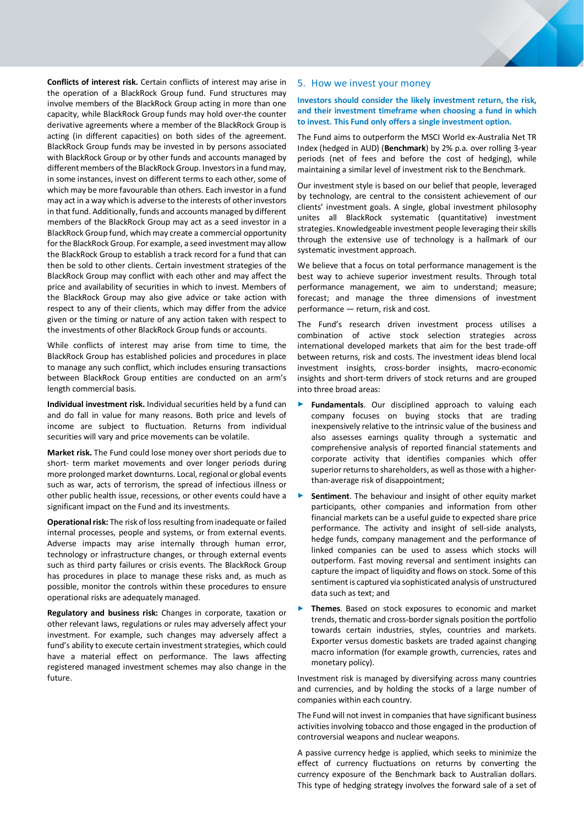**Conflicts of interest risk.** Certain conflicts of interest may arise in the operation of a BlackRock Group fund. Fund structures may involve members of the BlackRock Group acting in more than one capacity, while BlackRock Group funds may hold over-the counter derivative agreements where a member of the BlackRock Group is acting (in different capacities) on both sides of the agreement. BlackRock Group funds may be invested in by persons associated with BlackRock Group or by other funds and accounts managed by different members of the BlackRock Group. Investors in a fund may, in some instances, invest on different terms to each other, some of which may be more favourable than others. Each investor in a fund may act in a way which is adverse to the interests of other investors in that fund. Additionally, funds and accounts managed by different members of the BlackRock Group may act as a seed investor in a BlackRock Group fund, which may create a commercial opportunity for the BlackRock Group. For example, a seed investment may allow the BlackRock Group to establish a track record for a fund that can then be sold to other clients. Certain investment strategies of the BlackRock Group may conflict with each other and may affect the price and availability of securities in which to invest. Members of the BlackRock Group may also give advice or take action with respect to any of their clients, which may differ from the advice given or the timing or nature of any action taken with respect to the investments of other BlackRock Group funds or accounts.

While conflicts of interest may arise from time to time, the BlackRock Group has established policies and procedures in place to manage any such conflict, which includes ensuring transactions between BlackRock Group entities are conducted on an arm's length commercial basis.

**Individual investment risk.** Individual securities held by a fund can and do fall in value for many reasons. Both price and levels of income are subject to fluctuation. Returns from individual securities will vary and price movements can be volatile.

**Market risk.** The Fund could lose money over short periods due to short- term market movements and over longer periods during more prolonged market downturns. Local, regional or global events such as war, acts of terrorism, the spread of infectious illness or other public health issue, recessions, or other events could have a significant impact on the Fund and its investments.

**Operational risk:** The risk of loss resulting from inadequate or failed internal processes, people and systems, or from external events. Adverse impacts may arise internally through human error, technology or infrastructure changes, or through external events such as third party failures or crisis events. The BlackRock Group has procedures in place to manage these risks and, as much as possible, monitor the controls within these procedures to ensure operational risks are adequately managed.

**Regulatory and business risk:** Changes in corporate, taxation or other relevant laws, regulations or rules may adversely affect your investment. For example, such changes may adversely affect a fund's ability to execute certain investment strategies, which could have a material effect on performance. The laws affecting registered managed investment schemes may also change in the future.

#### <span id="page-4-0"></span>5. How we invest your money

#### **Investors should consider the likely investment return, the risk, and their investment timeframe when choosing a fund in which to invest. This Fund only offers a single investment option.**

The Fund aims to outperform the MSCI World ex-Australia Net TR Index (hedged in AUD) (**Benchmark**) by 2% p.a. over rolling 3-year periods (net of fees and before the cost of hedging), while maintaining a similar level of investment risk to the Benchmark.

Our investment style is based on our belief that people, leveraged by technology, are central to the consistent achievement of our clients' investment goals. A single, global investment philosophy unites all BlackRock systematic (quantitative) investment strategies. Knowledgeable investment people leveraging their skills through the extensive use of technology is a hallmark of our systematic investment approach.

We believe that a focus on total performance management is the best way to achieve superior investment results. Through total performance management, we aim to understand; measure; forecast; and manage the three dimensions of investment performance — return, risk and cost.

The Fund's research driven investment process utilises a combination of active stock selection strategies across international developed markets that aim for the best trade-off between returns, risk and costs. The investment ideas blend local investment insights, cross-border insights, macro-economic insights and short-term drivers of stock returns and are grouped into three broad areas:

- Fundamentals. Our disciplined approach to valuing each company focuses on buying stocks that are trading inexpensively relative to the intrinsic value of the business and also assesses earnings quality through a systematic and comprehensive analysis of reported financial statements and corporate activity that identifies companies which offer superior returns to shareholders, as well as those with a higherthan-average risk of disappointment;
- **Sentiment**. The behaviour and insight of other equity market participants, other companies and information from other financial markets can be a useful guide to expected share price performance. The activity and insight of sell-side analysts, hedge funds, company management and the performance of linked companies can be used to assess which stocks will outperform. Fast moving reversal and sentiment insights can capture the impact of liquidity and flows on stock. Some of this sentiment is captured via sophisticated analysis of unstructured data such as text; and
- **Themes.** Based on stock exposures to economic and market trends, thematic and cross-border signals position the portfolio towards certain industries, styles, countries and markets. Exporter versus domestic baskets are traded against changing macro information (for example growth, currencies, rates and monetary policy).

Investment risk is managed by diversifying across many countries and currencies, and by holding the stocks of a large number of companies within each country.

The Fund will not invest in companies that have significant business activities involving tobacco and those engaged in the production of controversial weapons and nuclear weapons.

A passive currency hedge is applied, which seeks to minimize the effect of currency fluctuations on returns by converting the currency exposure of the Benchmark back to Australian dollars. This type of hedging strategy involves the forward sale of a set of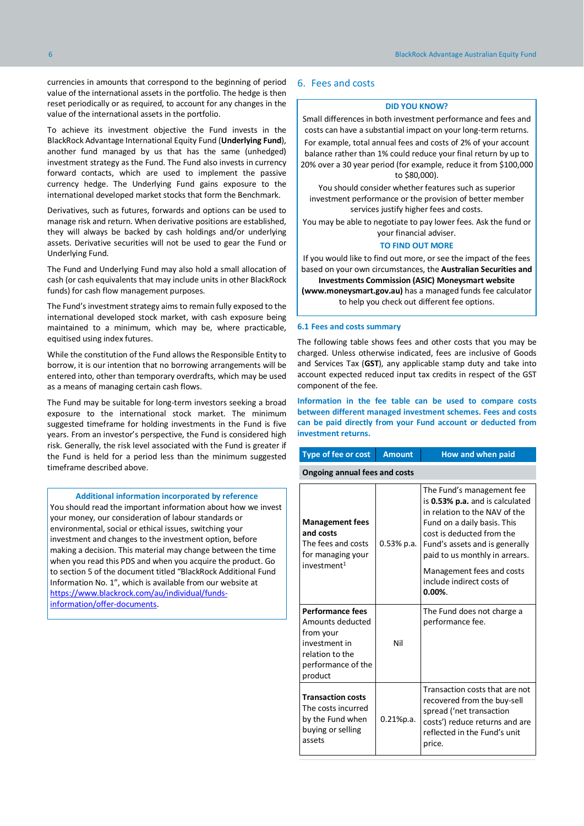currencies in amounts that correspond to the beginning of period value of the international assets in the portfolio. The hedge is then reset periodically or as required, to account for any changes in the value of the international assets in the portfolio.

To achieve its investment objective the Fund invests in the BlackRock Advantage International Equity Fund (**Underlying Fund**), another fund managed by us that has the same (unhedged) investment strategy as the Fund. The Fund also invests in currency forward contacts, which are used to implement the passive currency hedge. The Underlying Fund gains exposure to the international developed market stocks that form the Benchmark.

Derivatives, such as futures, forwards and options can be used to manage risk and return. When derivative positions are established, they will always be backed by cash holdings and/or underlying assets. Derivative securities will not be used to gear the Fund or Underlying Fund.

The Fund and Underlying Fund may also hold a small allocation of cash (or cash equivalents that may include units in other BlackRock funds) for cash flow management purposes.

The Fund's investment strategy aims to remain fully exposed to the international developed stock market, with cash exposure being maintained to a minimum, which may be, where practicable, equitised using index futures.

While the constitution of the Fund allows the Responsible Entity to borrow, it is our intention that no borrowing arrangements will be entered into, other than temporary overdrafts, which may be used as a means of managing certain cash flows.

The Fund may be suitable for long-term investors seeking a broad exposure to the international stock market. The minimum suggested timeframe for holding investments in the Fund is five years. From an investor's perspective, the Fund is considered high risk. Generally, the risk level associated with the Fund is greater if the Fund is held for a period less than the minimum suggested timeframe described above.

**Additional information incorporated by reference**

<span id="page-5-0"></span>You should read the important information about how we invest your money, our consideration of labour standards or environmental, social or ethical issues, switching your investment and changes to the investment option, before making a decision. This material may change between the time when you read this PDS and when you acquire the product. Go to section 5 of the document titled "BlackRock Additional Fund Information No. 1", which is available from our website at [https://www.blackrock.com/au/individual/funds](https://www.blackrock.com/au/individual/funds-information/offer-documents)[information/offer-documents.](https://www.blackrock.com/au/individual/funds-information/offer-documents)

#### 6. Fees and costs

#### **DID YOU KNOW?**

Small differences in both investment performance and fees and costs can have a substantial impact on your long-term returns. For example, total annual fees and costs of 2% of your account balance rather than 1% could reduce your final return by up to 20% over a 30 year period (for example, reduce it from \$100,000 to \$80,000).

You should consider whether features such as superior investment performance or the provision of better member services justify higher fees and costs.

You may be able to negotiate to pay lower fees. Ask the fund or your financial adviser.

#### **TO FIND OUT MORE**

If you would like to find out more, or see the impact of the fees based on your own circumstances, the **Australian Securities and Investments Commission (ASIC) Moneysmart website** 

**(www.moneysmart.gov.au)** has a managed funds fee calculator to help you check out different fee options.

#### **6.1 Fees and costs summary**

The following table shows fees and other costs that you may be charged. Unless otherwise indicated, fees are inclusive of Goods and Services Tax (**GST**), any applicable stamp duty and take into account expected reduced input tax credits in respect of the GST component of the fee.

**Information in the fee table can be used to compare costs between different managed investment schemes. Fees and costs can be paid directly from your Fund account or deducted from investment returns.**

| Type of fee or cost                                                                                                           | <b>Amount</b> | How and when paid                                                                                                                                                                                                                                                                                     |  |  |
|-------------------------------------------------------------------------------------------------------------------------------|---------------|-------------------------------------------------------------------------------------------------------------------------------------------------------------------------------------------------------------------------------------------------------------------------------------------------------|--|--|
| <b>Ongoing annual fees and costs</b>                                                                                          |               |                                                                                                                                                                                                                                                                                                       |  |  |
| <b>Management fees</b><br>and costs<br>The fees and costs<br>for managing your<br>investment <sup>1</sup>                     | $0.53\%$ p.a. | The Fund's management fee<br>is 0.53% p.a. and is calculated<br>in relation to the NAV of the<br>Fund on a daily basis. This<br>cost is deducted from the<br>Fund's assets and is generally<br>paid to us monthly in arrears.<br>Management fees and costs<br>include indirect costs of<br>$0.00\%$ . |  |  |
| <b>Performance fees</b><br>Amounts deducted<br>from your<br>investment in<br>relation to the<br>performance of the<br>product | Nil           | The Fund does not charge a<br>performance fee.                                                                                                                                                                                                                                                        |  |  |
| <b>Transaction costs</b><br>The costs incurred<br>by the Fund when<br>buying or selling<br>assets                             | 0.21%p.a.     | Transaction costs that are not<br>recovered from the buy-sell<br>spread ('net transaction<br>costs') reduce returns and are<br>reflected in the Fund's unit<br>price.                                                                                                                                 |  |  |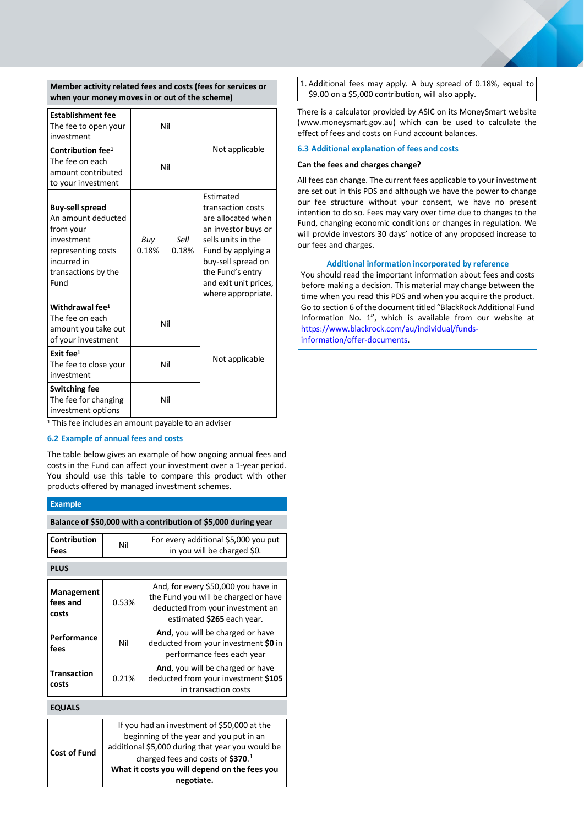**Member activity related fees and costs (fees for services or when your money moves in or out of the scheme)**

| <b>Establishment fee</b><br>The fee to open your<br>investment                                                                              | Nil                           |                                                                                                                                                                                                                  |
|---------------------------------------------------------------------------------------------------------------------------------------------|-------------------------------|------------------------------------------------------------------------------------------------------------------------------------------------------------------------------------------------------------------|
| Contribution fee <sup>1</sup><br>The fee on each<br>amount contributed<br>to your investment                                                | Nil                           | Not applicable                                                                                                                                                                                                   |
| <b>Buy-sell spread</b><br>An amount deducted<br>from your<br>investment<br>representing costs<br>incurred in<br>transactions by the<br>Fund | Sell<br>Buy<br>0.18%<br>0.18% | Estimated<br>transaction costs<br>are allocated when<br>an investor buys or<br>sells units in the<br>Fund by applying a<br>buy-sell spread on<br>the Fund's entry<br>and exit unit prices,<br>where appropriate. |
| Withdrawal fee <sup>1</sup><br>The fee on each<br>amount you take out<br>of your investment                                                 | Nil                           |                                                                                                                                                                                                                  |
| Exit fee <sup>1</sup><br>The fee to close your<br>investment                                                                                | Nil                           | Not applicable                                                                                                                                                                                                   |
| <b>Switching fee</b><br>The fee for changing<br>investment options                                                                          | Nil                           |                                                                                                                                                                                                                  |

 $\frac{1}{1}$ This fee includes an amount payable to an adviser

#### **6.2 Example of annual fees and costs**

The table below gives an example of how ongoing annual fees and costs in the Fund can affect your investment over a 1-year period. You should use this table to compare this product with other products offered by managed investment schemes.

#### **Example**

| Balance of \$50,000 with a contribution of \$5,000 during year |                                                                                                                                                                                  |                                                                                                                                               |  |  |
|----------------------------------------------------------------|----------------------------------------------------------------------------------------------------------------------------------------------------------------------------------|-----------------------------------------------------------------------------------------------------------------------------------------------|--|--|
| Contribution<br>Fees                                           | Nil                                                                                                                                                                              | For every additional \$5,000 you put<br>in you will be charged \$0.                                                                           |  |  |
| <b>PLUS</b>                                                    |                                                                                                                                                                                  |                                                                                                                                               |  |  |
| Management<br>fees and<br>costs                                | 0.53%                                                                                                                                                                            | And, for every \$50,000 you have in<br>the Fund you will be charged or have<br>deducted from your investment an<br>estimated \$265 each year. |  |  |
| Performance<br>fees                                            | Nil                                                                                                                                                                              | And, you will be charged or have<br>deducted from your investment \$0 in<br>performance fees each year                                        |  |  |
| <b>Transaction</b><br>costs                                    | 0.21%                                                                                                                                                                            | And, you will be charged or have<br>deducted from your investment \$105<br>in transaction costs                                               |  |  |
| <b>EQUALS</b>                                                  |                                                                                                                                                                                  |                                                                                                                                               |  |  |
| <b>Cost of Fund</b>                                            | If you had an investment of \$50,000 at the<br>beginning of the year and you put in an<br>additional \$5,000 during that year you would be<br>charged fees and costs of $$370.1$ |                                                                                                                                               |  |  |

**What it costs you will depend on the fees you negotiate.**

1. Additional fees may apply. A buy spread of 0.18%, equal to \$9.00 on a \$5,000 contribution, will also apply.

There is a calculator provided by ASIC on its MoneySmart website (www.moneysmart.gov.au) which can be used to calculate the effect of fees and costs on Fund account balances.

#### **6.3 Additional explanation of fees and costs**

#### **Can the fees and charges change?**

All fees can change. The current fees applicable to your investment are set out in this PDS and although we have the power to change our fee structure without your consent, we have no present intention to do so. Fees may vary over time due to changes to the Fund, changing economic conditions or changes in regulation. We will provide investors 30 days' notice of any proposed increase to our fees and charges.

#### **Additional information incorporated by reference**

You should read the important information about fees and costs before making a decision. This material may change between the time when you read this PDS and when you acquire the product. Go to section 6 of the document titled "BlackRock Additional Fund Information No. 1", which is available from our website at [https://www.blackrock.com/au/individual/funds](https://www.blackrock.com/au/individual/funds-information/offer-documents)[information/offer-documents.](https://www.blackrock.com/au/individual/funds-information/offer-documents)